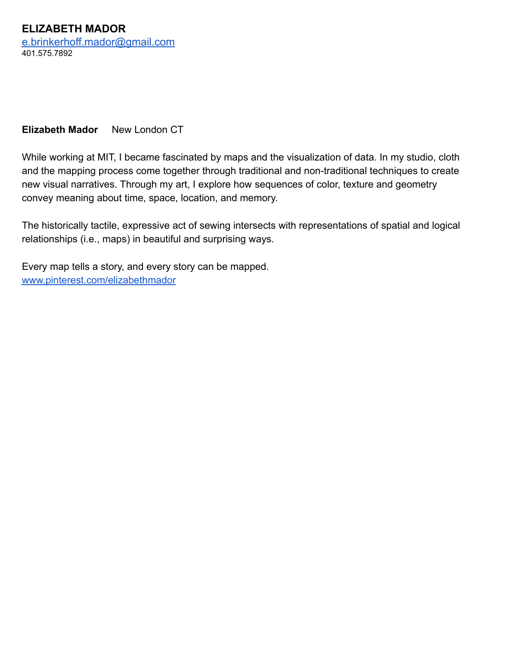**ELIZABETH MADOR** [e.brinkerhoff.mador@gmail.com](mailto:e.brinkerhoff.mador@gmail.com) 401.575.7892

## **Elizabeth Mador** New London CT

While working at MIT, I became fascinated by maps and the visualization of data. In my studio, cloth and the mapping process come together through traditional and non-traditional techniques to create new visual narratives. Through my art, I explore how sequences of color, texture and geometry convey meaning about time, space, location, and memory.

The historically tactile, expressive act of sewing intersects with representations of spatial and logical relationships (i.e., maps) in beautiful and surprising ways.

Every map tells a story, and every story can be mapped. [www.pinterest.com/elizabethmador](http://www.pinterest.com/elizabethmador)